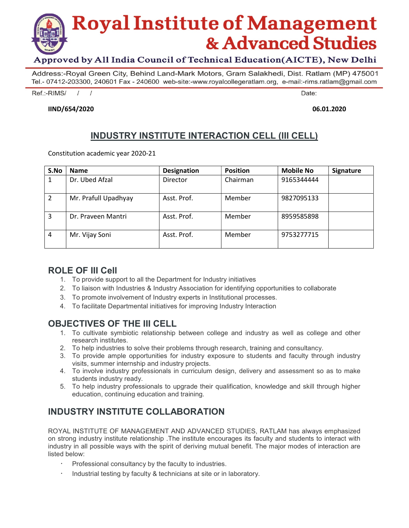

#### Approved by All India Council of Technical Education (AICTE), New Delhi

Address:-Royal Green City, Behind Land-Mark Motors, Gram Salakhedi, Dist. Ratlam (MP) 475001 Tel.-07412-203300, 240601 Fax - 240600 web-site:-www.royalcollegeratlam.org, e-mail:-rims.ratlam@gmail.com

Ref.:-RIMS/  $\prime$  $\prime$  Date:

#### IIND/654/2020 06.01.2020

# INDUSTRY INSTITUTE INTERACTION CELL (III CELL)

Constitution academic year 2020-21

| S.No | <b>Name</b>          | <b>Designation</b> | <b>Position</b> | <b>Mobile No</b> | Signature |
|------|----------------------|--------------------|-----------------|------------------|-----------|
| 1    | Dr. Ubed Afzal       | Director           | Chairman        | 9165344444       |           |
|      | Mr. Prafull Upadhyay | Asst. Prof.        | Member          | 9827095133       |           |
| 3    | Dr. Praveen Mantri   | Asst. Prof.        | Member          | 8959585898       |           |
| 4    | Mr. Vijay Soni       | Asst. Prof.        | Member          | 9753277715       |           |

#### ROLE OF III Cell

- 1. To provide support to all the Department for Industry initiatives
- 2. To liaison with Industries & Industry Association for identifying opportunities to collaborate
- 3. To promote involvement of Industry experts in Institutional processes.
- 4. To facilitate Departmental initiatives for improving Industry Interaction

## OBJECTIVES OF THE III CELL

- 1. To cultivate symbiotic relationship between college and industry as well as college and other research institutes.
- 2. To help industries to solve their problems through research, training and consultancy.
- 3. To provide ample opportunities for industry exposure to students and faculty through industry visits, summer internship and industry projects.
- 4. To involve industry professionals in curriculum design, delivery and assessment so as to make students industry ready.
- 5. To help industry professionals to upgrade their qualification, knowledge and skill through higher education, continuing education and training.

# INDUSTRY INSTITUTE COLLABORATION

ROYAL INSTITUTE OF MANAGEMENT AND ADVANCED STUDIES, RATLAM has always emphasized on strong industry institute relationship .The institute encourages its faculty and students to interact with industry in all possible ways with the spirit of deriving mutual benefit. The major modes of interaction are listed below:

- Professional consultancy by the faculty to industries.
- Industrial testing by faculty & technicians at site or in laboratory.